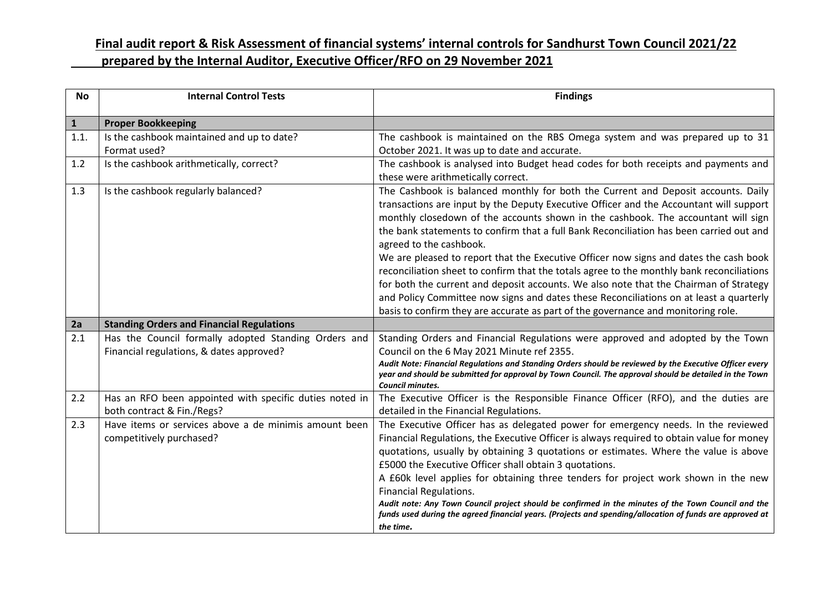| <b>No</b>    | <b>Internal Control Tests</b>                                                                    | <b>Findings</b>                                                                                                                                                                                                                                                                                                                                                                                                                                                                                                                                                                                                                                                                                                                                                                                                                                      |  |  |
|--------------|--------------------------------------------------------------------------------------------------|------------------------------------------------------------------------------------------------------------------------------------------------------------------------------------------------------------------------------------------------------------------------------------------------------------------------------------------------------------------------------------------------------------------------------------------------------------------------------------------------------------------------------------------------------------------------------------------------------------------------------------------------------------------------------------------------------------------------------------------------------------------------------------------------------------------------------------------------------|--|--|
| $\mathbf{1}$ | <b>Proper Bookkeeping</b>                                                                        |                                                                                                                                                                                                                                                                                                                                                                                                                                                                                                                                                                                                                                                                                                                                                                                                                                                      |  |  |
| 1.1.         | Is the cashbook maintained and up to date?<br>Format used?                                       | The cashbook is maintained on the RBS Omega system and was prepared up to 31<br>October 2021. It was up to date and accurate.                                                                                                                                                                                                                                                                                                                                                                                                                                                                                                                                                                                                                                                                                                                        |  |  |
| 1.2          | Is the cashbook arithmetically, correct?                                                         | The cashbook is analysed into Budget head codes for both receipts and payments and<br>these were arithmetically correct.                                                                                                                                                                                                                                                                                                                                                                                                                                                                                                                                                                                                                                                                                                                             |  |  |
| 1.3          | Is the cashbook regularly balanced?                                                              | The Cashbook is balanced monthly for both the Current and Deposit accounts. Daily<br>transactions are input by the Deputy Executive Officer and the Accountant will support<br>monthly closedown of the accounts shown in the cashbook. The accountant will sign<br>the bank statements to confirm that a full Bank Reconciliation has been carried out and<br>agreed to the cashbook.<br>We are pleased to report that the Executive Officer now signs and dates the cash book<br>reconciliation sheet to confirm that the totals agree to the monthly bank reconciliations<br>for both the current and deposit accounts. We also note that the Chairman of Strategy<br>and Policy Committee now signs and dates these Reconciliations on at least a quarterly<br>basis to confirm they are accurate as part of the governance and monitoring role. |  |  |
| 2a           | <b>Standing Orders and Financial Regulations</b>                                                 |                                                                                                                                                                                                                                                                                                                                                                                                                                                                                                                                                                                                                                                                                                                                                                                                                                                      |  |  |
| 2.1          | Has the Council formally adopted Standing Orders and<br>Financial regulations, & dates approved? | Standing Orders and Financial Regulations were approved and adopted by the Town<br>Council on the 6 May 2021 Minute ref 2355.<br>Audit Note: Financial Regulations and Standing Orders should be reviewed by the Executive Officer every<br>year and should be submitted for approval by Town Council. The approval should be detailed in the Town<br><b>Council minutes.</b>                                                                                                                                                                                                                                                                                                                                                                                                                                                                        |  |  |
| 2.2          | Has an RFO been appointed with specific duties noted in<br>both contract & Fin./Regs?            | The Executive Officer is the Responsible Finance Officer (RFO), and the duties are<br>detailed in the Financial Regulations.                                                                                                                                                                                                                                                                                                                                                                                                                                                                                                                                                                                                                                                                                                                         |  |  |
| 2.3          | Have items or services above a de minimis amount been<br>competitively purchased?                | The Executive Officer has as delegated power for emergency needs. In the reviewed<br>Financial Regulations, the Executive Officer is always required to obtain value for money<br>quotations, usually by obtaining 3 quotations or estimates. Where the value is above<br>£5000 the Executive Officer shall obtain 3 quotations.<br>A £60k level applies for obtaining three tenders for project work shown in the new<br><b>Financial Regulations.</b><br>Audit note: Any Town Council project should be confirmed in the minutes of the Town Council and the<br>funds used during the agreed financial years. (Projects and spending/allocation of funds are approved at<br>the time.                                                                                                                                                              |  |  |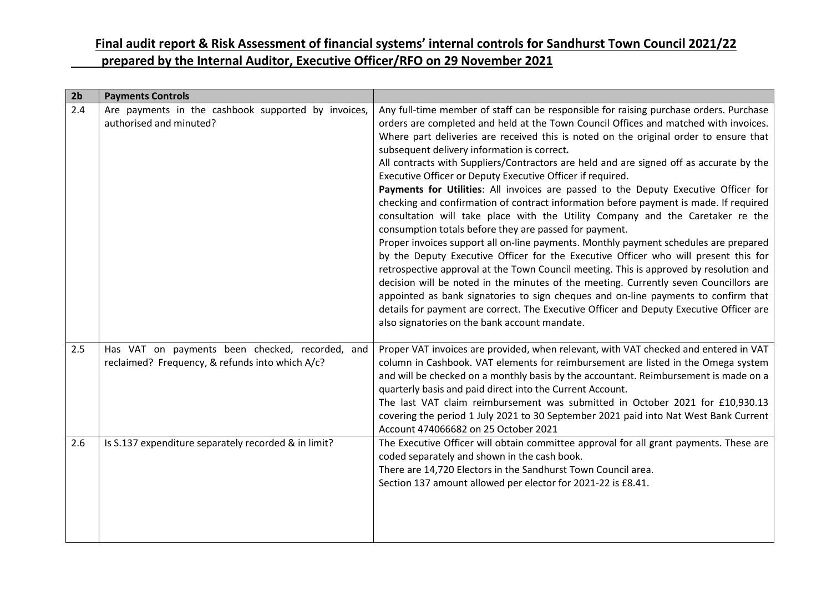| 2 <sub>b</sub> | <b>Payments Controls</b>                                                                           |                                                                                                                                                                                                                                                                                                                                                                                                                                                                                                                                                                                                                                                                                                                                                                                                                                                                                                                                                                                                                                                                                                                                                                                                                                                                                                                                                                                                                 |
|----------------|----------------------------------------------------------------------------------------------------|-----------------------------------------------------------------------------------------------------------------------------------------------------------------------------------------------------------------------------------------------------------------------------------------------------------------------------------------------------------------------------------------------------------------------------------------------------------------------------------------------------------------------------------------------------------------------------------------------------------------------------------------------------------------------------------------------------------------------------------------------------------------------------------------------------------------------------------------------------------------------------------------------------------------------------------------------------------------------------------------------------------------------------------------------------------------------------------------------------------------------------------------------------------------------------------------------------------------------------------------------------------------------------------------------------------------------------------------------------------------------------------------------------------------|
| 2.4            | Are payments in the cashbook supported by invoices,<br>authorised and minuted?                     | Any full-time member of staff can be responsible for raising purchase orders. Purchase<br>orders are completed and held at the Town Council Offices and matched with invoices.<br>Where part deliveries are received this is noted on the original order to ensure that<br>subsequent delivery information is correct.<br>All contracts with Suppliers/Contractors are held and are signed off as accurate by the<br>Executive Officer or Deputy Executive Officer if required.<br>Payments for Utilities: All invoices are passed to the Deputy Executive Officer for<br>checking and confirmation of contract information before payment is made. If required<br>consultation will take place with the Utility Company and the Caretaker re the<br>consumption totals before they are passed for payment.<br>Proper invoices support all on-line payments. Monthly payment schedules are prepared<br>by the Deputy Executive Officer for the Executive Officer who will present this for<br>retrospective approval at the Town Council meeting. This is approved by resolution and<br>decision will be noted in the minutes of the meeting. Currently seven Councillors are<br>appointed as bank signatories to sign cheques and on-line payments to confirm that<br>details for payment are correct. The Executive Officer and Deputy Executive Officer are<br>also signatories on the bank account mandate. |
| 2.5            | Has VAT on payments been checked, recorded, and<br>reclaimed? Frequency, & refunds into which A/c? | Proper VAT invoices are provided, when relevant, with VAT checked and entered in VAT<br>column in Cashbook. VAT elements for reimbursement are listed in the Omega system<br>and will be checked on a monthly basis by the accountant. Reimbursement is made on a<br>quarterly basis and paid direct into the Current Account.<br>The last VAT claim reimbursement was submitted in October 2021 for £10,930.13<br>covering the period 1 July 2021 to 30 September 2021 paid into Nat West Bank Current<br>Account 474066682 on 25 October 2021                                                                                                                                                                                                                                                                                                                                                                                                                                                                                                                                                                                                                                                                                                                                                                                                                                                                 |
| 2.6            | Is S.137 expenditure separately recorded & in limit?                                               | The Executive Officer will obtain committee approval for all grant payments. These are<br>coded separately and shown in the cash book.<br>There are 14,720 Electors in the Sandhurst Town Council area.<br>Section 137 amount allowed per elector for 2021-22 is £8.41.                                                                                                                                                                                                                                                                                                                                                                                                                                                                                                                                                                                                                                                                                                                                                                                                                                                                                                                                                                                                                                                                                                                                         |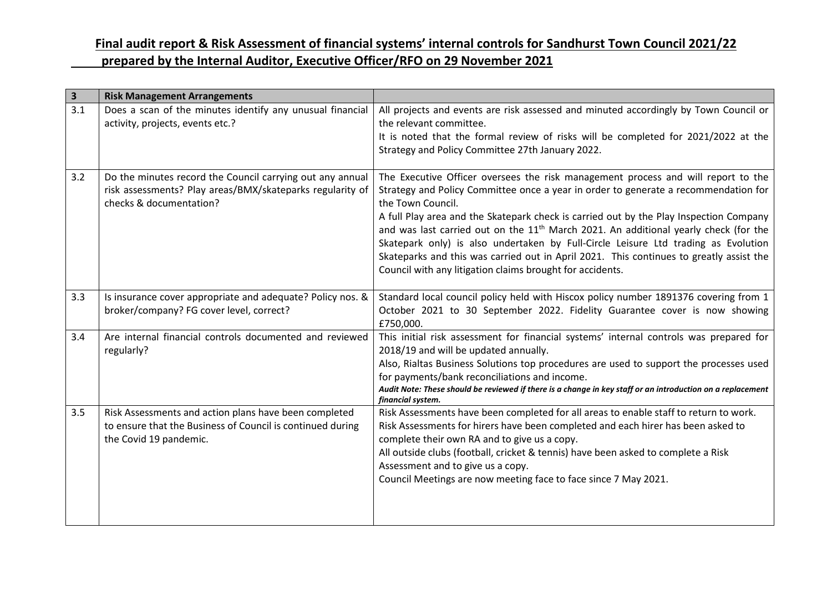| $\overline{\mathbf{3}}$ | <b>Risk Management Arrangements</b>                                                                                                               |                                                                                                                                                                                                                                                                                                                                                                                                                                                                                                                                                                                                                                 |
|-------------------------|---------------------------------------------------------------------------------------------------------------------------------------------------|---------------------------------------------------------------------------------------------------------------------------------------------------------------------------------------------------------------------------------------------------------------------------------------------------------------------------------------------------------------------------------------------------------------------------------------------------------------------------------------------------------------------------------------------------------------------------------------------------------------------------------|
| 3.1                     | Does a scan of the minutes identify any unusual financial<br>activity, projects, events etc.?                                                     | All projects and events are risk assessed and minuted accordingly by Town Council or<br>the relevant committee.<br>It is noted that the formal review of risks will be completed for 2021/2022 at the                                                                                                                                                                                                                                                                                                                                                                                                                           |
|                         |                                                                                                                                                   | Strategy and Policy Committee 27th January 2022.                                                                                                                                                                                                                                                                                                                                                                                                                                                                                                                                                                                |
| 3.2                     | Do the minutes record the Council carrying out any annual<br>risk assessments? Play areas/BMX/skateparks regularity of<br>checks & documentation? | The Executive Officer oversees the risk management process and will report to the<br>Strategy and Policy Committee once a year in order to generate a recommendation for<br>the Town Council.<br>A full Play area and the Skatepark check is carried out by the Play Inspection Company<br>and was last carried out on the $11th$ March 2021. An additional yearly check (for the<br>Skatepark only) is also undertaken by Full-Circle Leisure Ltd trading as Evolution<br>Skateparks and this was carried out in April 2021. This continues to greatly assist the<br>Council with any litigation claims brought for accidents. |
| 3.3                     | Is insurance cover appropriate and adequate? Policy nos. &<br>broker/company? FG cover level, correct?                                            | Standard local council policy held with Hiscox policy number 1891376 covering from 1<br>October 2021 to 30 September 2022. Fidelity Guarantee cover is now showing<br>£750,000.                                                                                                                                                                                                                                                                                                                                                                                                                                                 |
| 3.4                     | Are internal financial controls documented and reviewed<br>regularly?                                                                             | This initial risk assessment for financial systems' internal controls was prepared for<br>2018/19 and will be updated annually.<br>Also, Rialtas Business Solutions top procedures are used to support the processes used<br>for payments/bank reconciliations and income.<br>Audit Note: These should be reviewed if there is a change in key staff or an introduction on a replacement<br>financial system.                                                                                                                                                                                                                   |
| 3.5                     | Risk Assessments and action plans have been completed<br>to ensure that the Business of Council is continued during<br>the Covid 19 pandemic.     | Risk Assessments have been completed for all areas to enable staff to return to work.<br>Risk Assessments for hirers have been completed and each hirer has been asked to<br>complete their own RA and to give us a copy.<br>All outside clubs (football, cricket & tennis) have been asked to complete a Risk<br>Assessment and to give us a copy.<br>Council Meetings are now meeting face to face since 7 May 2021.                                                                                                                                                                                                          |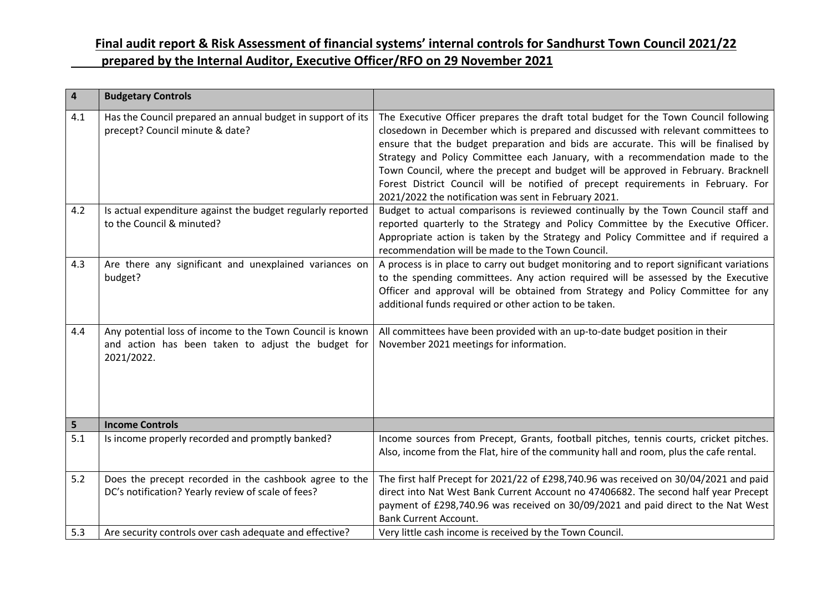| 4   | <b>Budgetary Controls</b>                                                                                                     |                                                                                                                                                                                                                                                                                                                                                                                                                                                                                                                                                                                       |
|-----|-------------------------------------------------------------------------------------------------------------------------------|---------------------------------------------------------------------------------------------------------------------------------------------------------------------------------------------------------------------------------------------------------------------------------------------------------------------------------------------------------------------------------------------------------------------------------------------------------------------------------------------------------------------------------------------------------------------------------------|
| 4.1 | Has the Council prepared an annual budget in support of its<br>precept? Council minute & date?                                | The Executive Officer prepares the draft total budget for the Town Council following<br>closedown in December which is prepared and discussed with relevant committees to<br>ensure that the budget preparation and bids are accurate. This will be finalised by<br>Strategy and Policy Committee each January, with a recommendation made to the<br>Town Council, where the precept and budget will be approved in February. Bracknell<br>Forest District Council will be notified of precept requirements in February. For<br>2021/2022 the notification was sent in February 2021. |
| 4.2 | Is actual expenditure against the budget regularly reported<br>to the Council & minuted?                                      | Budget to actual comparisons is reviewed continually by the Town Council staff and<br>reported quarterly to the Strategy and Policy Committee by the Executive Officer.<br>Appropriate action is taken by the Strategy and Policy Committee and if required a<br>recommendation will be made to the Town Council.                                                                                                                                                                                                                                                                     |
| 4.3 | Are there any significant and unexplained variances on<br>budget?                                                             | A process is in place to carry out budget monitoring and to report significant variations<br>to the spending committees. Any action required will be assessed by the Executive<br>Officer and approval will be obtained from Strategy and Policy Committee for any<br>additional funds required or other action to be taken.                                                                                                                                                                                                                                                          |
| 4.4 | Any potential loss of income to the Town Council is known<br>and action has been taken to adjust the budget for<br>2021/2022. | All committees have been provided with an up-to-date budget position in their<br>November 2021 meetings for information.                                                                                                                                                                                                                                                                                                                                                                                                                                                              |
| 5   | <b>Income Controls</b>                                                                                                        |                                                                                                                                                                                                                                                                                                                                                                                                                                                                                                                                                                                       |
| 5.1 | Is income properly recorded and promptly banked?                                                                              | Income sources from Precept, Grants, football pitches, tennis courts, cricket pitches.<br>Also, income from the Flat, hire of the community hall and room, plus the cafe rental.                                                                                                                                                                                                                                                                                                                                                                                                      |
| 5.2 | Does the precept recorded in the cashbook agree to the<br>DC's notification? Yearly review of scale of fees?                  | The first half Precept for 2021/22 of £298,740.96 was received on 30/04/2021 and paid<br>direct into Nat West Bank Current Account no 47406682. The second half year Precept<br>payment of £298,740.96 was received on 30/09/2021 and paid direct to the Nat West<br><b>Bank Current Account.</b>                                                                                                                                                                                                                                                                                     |
| 5.3 | Are security controls over cash adequate and effective?                                                                       | Very little cash income is received by the Town Council.                                                                                                                                                                                                                                                                                                                                                                                                                                                                                                                              |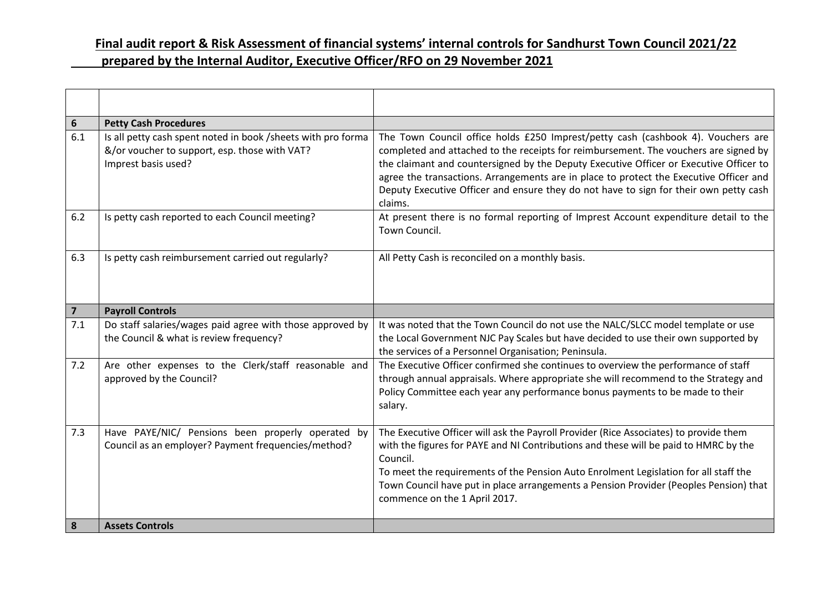| 6              | <b>Petty Cash Procedures</b>                                                                                                         |                                                                                                                                                                                                                                                                                                                                                                                                                                                                  |  |  |
|----------------|--------------------------------------------------------------------------------------------------------------------------------------|------------------------------------------------------------------------------------------------------------------------------------------------------------------------------------------------------------------------------------------------------------------------------------------------------------------------------------------------------------------------------------------------------------------------------------------------------------------|--|--|
| 6.1            | Is all petty cash spent noted in book /sheets with pro forma<br>&/or voucher to support, esp. those with VAT?<br>Imprest basis used? | The Town Council office holds £250 Imprest/petty cash (cashbook 4). Vouchers are<br>completed and attached to the receipts for reimbursement. The vouchers are signed by<br>the claimant and countersigned by the Deputy Executive Officer or Executive Officer to<br>agree the transactions. Arrangements are in place to protect the Executive Officer and<br>Deputy Executive Officer and ensure they do not have to sign for their own petty cash<br>claims. |  |  |
| 6.2            | Is petty cash reported to each Council meeting?                                                                                      | At present there is no formal reporting of Imprest Account expenditure detail to the<br>Town Council.                                                                                                                                                                                                                                                                                                                                                            |  |  |
| 6.3            | Is petty cash reimbursement carried out regularly?                                                                                   | All Petty Cash is reconciled on a monthly basis.                                                                                                                                                                                                                                                                                                                                                                                                                 |  |  |
| $\overline{7}$ | <b>Payroll Controls</b>                                                                                                              |                                                                                                                                                                                                                                                                                                                                                                                                                                                                  |  |  |
| 7.1            | Do staff salaries/wages paid agree with those approved by<br>the Council & what is review frequency?                                 | It was noted that the Town Council do not use the NALC/SLCC model template or use<br>the Local Government NJC Pay Scales but have decided to use their own supported by<br>the services of a Personnel Organisation; Peninsula.                                                                                                                                                                                                                                  |  |  |
| 7.2            | Are other expenses to the Clerk/staff reasonable and<br>approved by the Council?                                                     | The Executive Officer confirmed she continues to overview the performance of staff<br>through annual appraisals. Where appropriate she will recommend to the Strategy and<br>Policy Committee each year any performance bonus payments to be made to their<br>salary.                                                                                                                                                                                            |  |  |
| 7.3            | Have PAYE/NIC/ Pensions been properly operated by<br>Council as an employer? Payment frequencies/method?                             | The Executive Officer will ask the Payroll Provider (Rice Associates) to provide them<br>with the figures for PAYE and NI Contributions and these will be paid to HMRC by the<br>Council.<br>To meet the requirements of the Pension Auto Enrolment Legislation for all staff the<br>Town Council have put in place arrangements a Pension Provider (Peoples Pension) that<br>commence on the 1 April 2017.                                                      |  |  |
| 8              | <b>Assets Controls</b>                                                                                                               |                                                                                                                                                                                                                                                                                                                                                                                                                                                                  |  |  |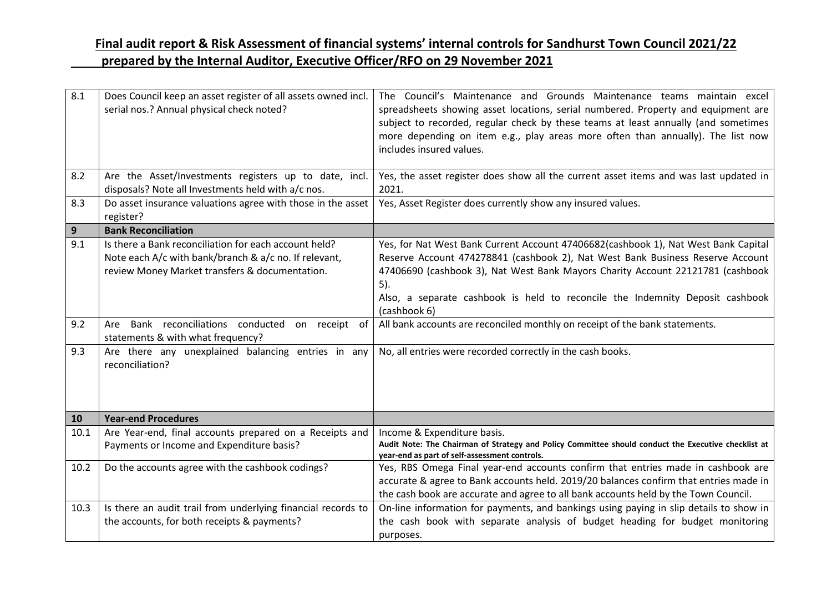| 8.1               | Does Council keep an asset register of all assets owned incl.<br>serial nos.? Annual physical check noted?                                                                                                                                                                                                                         | The Council's Maintenance and Grounds Maintenance teams maintain excel<br>spreadsheets showing asset locations, serial numbered. Property and equipment are<br>subject to recorded, regular check by these teams at least annually (and sometimes<br>more depending on item e.g., play areas more often than annually). The list now<br>includes insured values.                                                                                                                                               |  |  |
|-------------------|------------------------------------------------------------------------------------------------------------------------------------------------------------------------------------------------------------------------------------------------------------------------------------------------------------------------------------|----------------------------------------------------------------------------------------------------------------------------------------------------------------------------------------------------------------------------------------------------------------------------------------------------------------------------------------------------------------------------------------------------------------------------------------------------------------------------------------------------------------|--|--|
| 8.2               | Are the Asset/Investments registers up to date, incl.<br>disposals? Note all Investments held with a/c nos.                                                                                                                                                                                                                        | Yes, the asset register does show all the current asset items and was last updated in<br>2021.                                                                                                                                                                                                                                                                                                                                                                                                                 |  |  |
| 8.3               | Do asset insurance valuations agree with those in the asset<br>register?                                                                                                                                                                                                                                                           | Yes, Asset Register does currently show any insured values.                                                                                                                                                                                                                                                                                                                                                                                                                                                    |  |  |
| 9                 | <b>Bank Reconciliation</b>                                                                                                                                                                                                                                                                                                         |                                                                                                                                                                                                                                                                                                                                                                                                                                                                                                                |  |  |
| 9.1<br>9.2<br>9.3 | Is there a Bank reconciliation for each account held?<br>Note each A/c with bank/branch & a/c no. If relevant,<br>review Money Market transfers & documentation.<br>Are Bank reconciliations conducted on receipt of<br>statements & with what frequency?<br>Are there any unexplained balancing entries in any<br>reconciliation? | Yes, for Nat West Bank Current Account 47406682(cashbook 1), Nat West Bank Capital<br>Reserve Account 474278841 (cashbook 2), Nat West Bank Business Reserve Account<br>47406690 (cashbook 3), Nat West Bank Mayors Charity Account 22121781 (cashbook<br>$5$ ).<br>Also, a separate cashbook is held to reconcile the Indemnity Deposit cashbook<br>(cashbook 6)<br>All bank accounts are reconciled monthly on receipt of the bank statements.<br>No, all entries were recorded correctly in the cash books. |  |  |
|                   | <b>Year-end Procedures</b>                                                                                                                                                                                                                                                                                                         |                                                                                                                                                                                                                                                                                                                                                                                                                                                                                                                |  |  |
| 10<br>10.1        | Are Year-end, final accounts prepared on a Receipts and                                                                                                                                                                                                                                                                            | Income & Expenditure basis.                                                                                                                                                                                                                                                                                                                                                                                                                                                                                    |  |  |
|                   | Payments or Income and Expenditure basis?                                                                                                                                                                                                                                                                                          | Audit Note: The Chairman of Strategy and Policy Committee should conduct the Executive checklist at<br>year-end as part of self-assessment controls.                                                                                                                                                                                                                                                                                                                                                           |  |  |
| 10.2              | Do the accounts agree with the cashbook codings?                                                                                                                                                                                                                                                                                   | Yes, RBS Omega Final year-end accounts confirm that entries made in cashbook are<br>accurate & agree to Bank accounts held. 2019/20 balances confirm that entries made in<br>the cash book are accurate and agree to all bank accounts held by the Town Council.                                                                                                                                                                                                                                               |  |  |
| 10.3              | Is there an audit trail from underlying financial records to<br>the accounts, for both receipts & payments?                                                                                                                                                                                                                        | On-line information for payments, and bankings using paying in slip details to show in<br>the cash book with separate analysis of budget heading for budget monitoring<br>purposes.                                                                                                                                                                                                                                                                                                                            |  |  |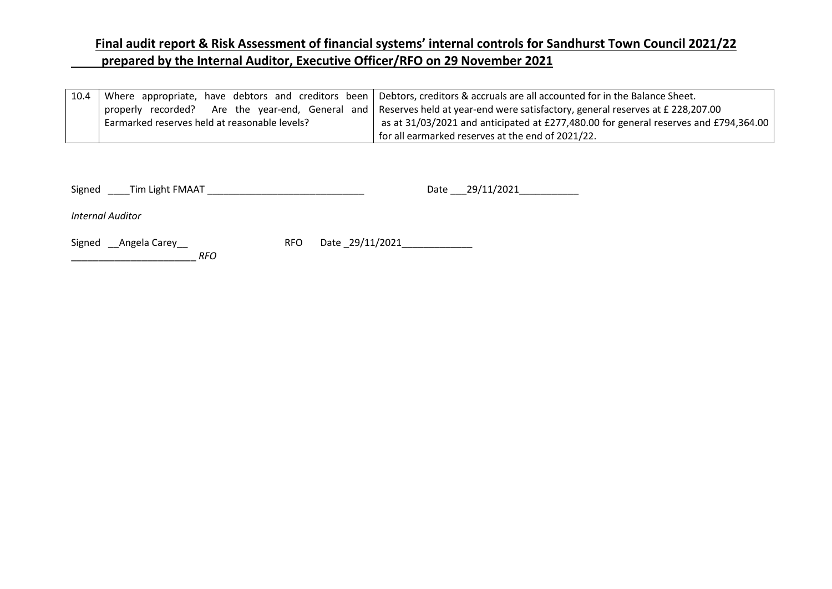| 10.4 |                                               | Where appropriate, have debtors and creditors been   Debtors, creditors & accruals are all accounted for in the Balance Sheet. |  |
|------|-----------------------------------------------|--------------------------------------------------------------------------------------------------------------------------------|--|
|      |                                               | properly recorded? Are the year-end, General and Reserves held at year-end were satisfactory, general reserves at £ 228,207.00 |  |
|      | Earmarked reserves held at reasonable levels? | as at 31/03/2021 and anticipated at £277,480.00 for general reserves and £794,364.00                                           |  |
|      |                                               | for all earmarked reserves at the end of 2021/22.                                                                              |  |

Signed \_\_\_\_Tim Light FMAAT \_\_\_\_\_\_\_\_\_\_\_\_\_\_\_\_\_\_\_\_\_\_\_\_\_\_\_\_\_ Date \_\_\_29/11/2021\_\_\_\_\_\_\_\_\_\_\_

*Internal Auditor*

\_\_\_\_\_\_\_\_\_\_\_\_\_\_\_\_\_\_\_\_\_\_\_ *RFO* 

Signed \_\_Angela Carey\_\_ RFO Date \_29/11/2021\_\_\_\_\_\_\_\_\_\_\_\_\_